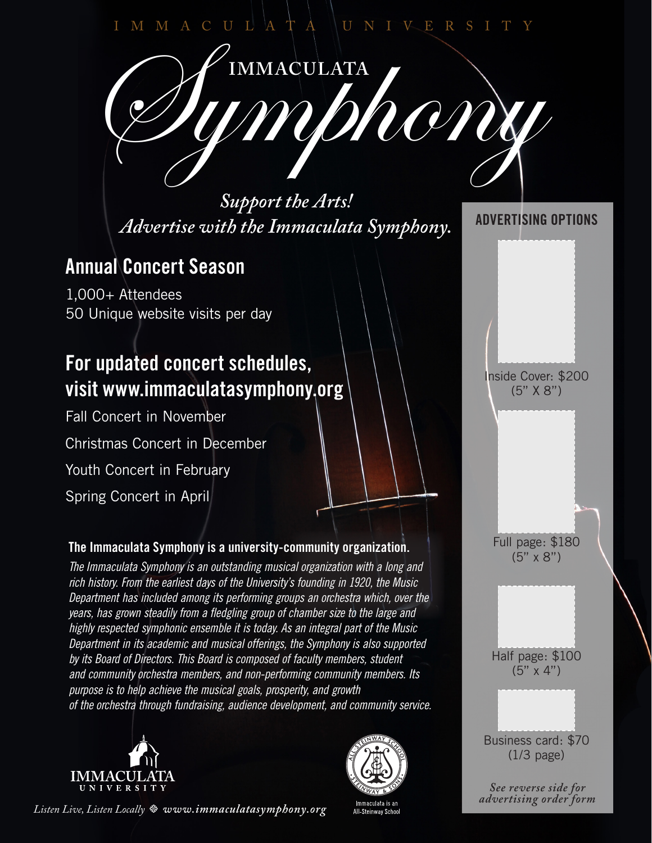### MMACULATA NUNIVERS

MMACULATA<br>IMMONONY

*Support the Arts! Advertise with the Immaculata Symphony.*

## **Annual Concert Season**

1,000+ Attendees 50 Unique website visits per day

# **For updated concert schedules, visit www.immaculatasymphony.org**

Fall Concert in November Christmas Concert in December Youth Concert in February Spring Concert in April

#### **The Immaculata Symphony is a university-community organization.**

*The Immaculata Symphony is an outstanding musical organization with a long and rich history. From the earliest days of the University's founding in 1920, the Music Department has included among its performing groups an orchestra which, over the years, has grown steadily from a fledgling group of chamber size to the large and highly respected symphonic ensemble it is today. As an integral part of the Music Department in its academic and musical offerings, the Symphony is also supported by its Board of Directors. This Board is composed of faculty members, student and community orchestra members, and non-performing community members. Its purpose is to help achieve the musical goals, prosperity, and growth of the orchestra through fundraising, audience development, and community service.*





#### **ADVERTISING OPTIONS**

Inside Cover: \$200 (5" X 8")

Full page: \$180 (5" x 8")

Half page: \$100 (5" x 4")

Business card: \$70 (1/3 page)

*See reverse side for advertising order form* 

*Listen Live, Listen Locally t www.immaculatasymphony.org*